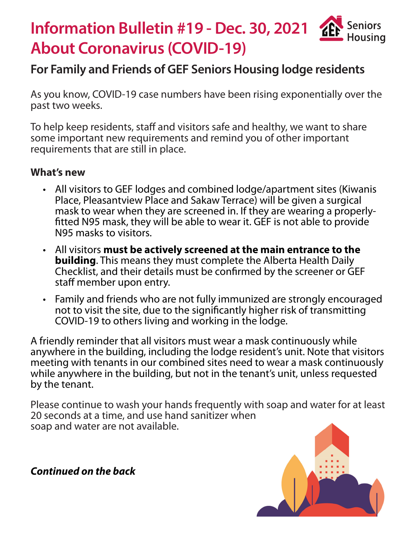## **Information Bulletin #19 - Dec. 30, 2021 Seniors ZEI** Housina **About Coronavirus (COVID-19)**

## **For Family and Friends of GEF Seniors Housing lodge residents**

As you know, COVID-19 case numbers have been rising exponentially over the past two weeks.

To help keep residents, staff and visitors safe and healthy, we want to share some important new requirements and remind you of other important requirements that are still in place.

## **What's new**

- All visitors to GEF lodges and combined lodge/apartment sites (Kiwanis Place, Pleasantview Place and Sakaw Terrace) will be given a surgical mask to wear when they are screened in. If they are wearing a properlyfitted N95 mask, they will be able to wear it. GEF is not able to provide N95 masks to visitors.
- All visitors **must be actively screened at the main entrance to the building**. This means they must complete the Alberta Health Daily Checklist, and their details must be confirmed by the screener or GEF staff member upon entry.
- Family and friends who are not fully immunized are strongly encouraged not to visit the site, due to the significantly higher risk of transmitting COVID-19 to others living and working in the lodge.

A friendly reminder that all visitors must wear a mask continuously while anywhere in the building, including the lodge resident's unit. Note that visitors meeting with tenants in our combined sites need to wear a mask continuously while anywhere in the building, but not in the tenant's unit, unless requested by the tenant.

Please continue to wash your hands frequently with soap and water for at least 20 seconds at a time, and use hand sanitizer when soap and water are not available.



*Continued on the back*